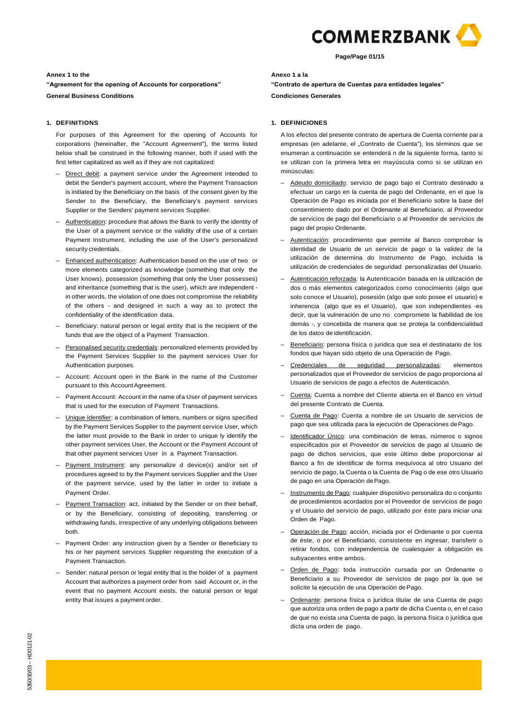

## **Annex 1 to the**

**"Agreement for the opening of Accounts for corporations"** 

**General Business Conditions**

# **1. DEFINITIONS**

For purposes of this Agreement for the opening of Accounts for corporations (hereinafter, the "Account Agreement"), the terms listed below shall be construed in the following manner, both if used with the first letter capitalized as well as if they are not capitalized:

- Direct debit: a payment service under the Agreement intended to debit the Sender's payment account, where the Payment Transaction is initiated by the Beneficiary on the basis of the consent given by the Sender to the Beneficiary, the Beneficiary's payment services Supplier or the Senders' payment services Supplier.
- Authentication: procedure that allows the Bank to verify the identity of the User of a payment service or the validity of the use of a certain Payment Instrument, including the use of the User's personalized security credentials.
- Enhanced authentication: Authentication based on the use of two or more elements categorized as knowledge (something that only the User knows), possession (something that only the User possesses) and inheritance (something that is the user), which are independent in other words, the violation of one does not compromise the reliability of the others - and designed in such a way as to protect the confidentiality of the identification data.
- Beneficiary: natural person or legal entity that is the recipient of the funds that are the object of a Payment Transaction.
- Personalised security credentials: personalized elements provided by the Payment Services Supplier to the payment services User for Authentication purposes.
- Account: Account open in the Bank in the name of the Customer pursuant to this AccountAgreement.
- Payment Account: Account in the name of a User of payment services that is used for the execution of Payment Transactions.
- Unique Identifier: a combination of letters, numbers or signs specified by the Payment Services Supplier to the payment service User, which the latter must provide to the Bank in order to unique ly identify the other payment services User, the Account or the Payment Account of that other payment services User in a Payment Transaction.
- Payment Instrument: any personalize d device(s) and/or set of procedures agreed to by the Payment services Supplier and the User of the payment service, used by the latter in order to initiate a Payment Order.
- Payment Transaction: act, initiated by the Sender or on their behalf, or by the Beneficiary, consisting of depositing, transferring or withdrawing funds, irrespective of any underlying obligations between both.
- Payment Order: any instruction given by a Sender or Beneficiary to his or her payment services Supplier requesting the execution of a Payment Transaction.
- Sender: natural person or legal entity that is the holder of a payment Account that authorizes a payment order from said Account or, in the event that no payment Account exists, the natural person or legal entity that issues a payment order.

#### **Anexo 1 a la**

**"Contrato de apertura de Cuentas para entidades legales"** 

**Page/Page 01/15**

**Condiciones Generales**

# **1. DEFINICIONES**

A los efectos del presente contrato de apertura de Cuenta corriente para empresas (en adelante, el "Contrato de Cuenta"), los términos que se enumeran a continuación se entenderá n de la siguiente forma, tanto si se utilizan con la primera letra en mayúscula como si se utilizan en minúsculas:

- Adeudo domiciliado: servicio de pago bajo el Contrato destinado a efectuar un cargo en la cuenta de pago del Ordenante, en el que la Operación de Pago es iniciada por el Beneficiario sobre la base del consentimiento dado por el Ordenante al Beneficiario, al Proveedor de servicios de pago del Beneficiario o al Proveedor de servicios de pago del propio Ordenante.
- Autenticación: procedimiento que permite al Banco comprobar la identidad de Usuario de un servicio de pago o la validez de la utilización de determina do Instrumento de Pago, incluida la utilización de credenciales de seguridad personalizadas del Usuario.
- Autenticación reforzada: la Autenticación basada en la utilización de dos o más elementos categorizados como conocimiento (algo que solo conoce el Usuario), posesión (algo que solo posee el usuario) e inherencia (algo que es el Usuario), que son independientes -es decir, que la vulneración de uno no compromete la fiabilidad de los demás -, y concebida de manera que se proteja la confidencialidad de los datos de identificación.
- Beneficiario: persona física o jurídica que sea el destinatario de los fondos que hayan sido objeto de una Operación de Pago.
- Credenciales de seguridad personalizadas: elementos personalizados que el Proveedor de servicios de pago proporciona al Usuario de servicios de pago a efectos de Autenticación.
- Cuenta: Cuenta a nombre del Cliente abierta en el Banco en virtud del presente Contrato de Cuenta.
- Cuenta de Pago: Cuenta a nombre de un Usuario de servicios de pago que sea utilizada para la ejecución de Operaciones dePago.
- Identificador Único: una combinación de letras, números o signos especificados por el Proveedor de servicios de pago al Usuario de pago de dichos servicios, que este último debe proporcionar al Banco a fin de identificar de forma inequívoca al otro Usuario del servicio de pago, la Cuenta o la Cuenta de Pag o de ese otro Usuario de pago en una Operación dePago.
- Instrumento de Pago: cualquier dispositivo personaliza do o conjunto de procedimientos acordados por el Proveedor de servicios de pago y el Usuario del servicio de pago, utilizado por éste para iniciar una Orden de Pago.
- Operación de Pago: acción, iniciada por el Ordenante o por cuenta de éste, o por el Beneficiario, consistente en ingresar, transferir o retirar fondos, con independencia de cualesquier a obligación es subyacentes entre ambos.
- Orden de Pago: toda instrucción cursada por un Ordenante o Beneficiario a su Proveedor de servicios de pago por la que se solicite la ejecución de una Operación de Pago.
- Ordenante: persona física o jurídica titular de una Cuenta de pago que autoriza una orden de pago a partir de dicha Cuenta o, en el caso de que no exista una Cuenta de pago, la persona física o jurídica que dicta una orden de pago.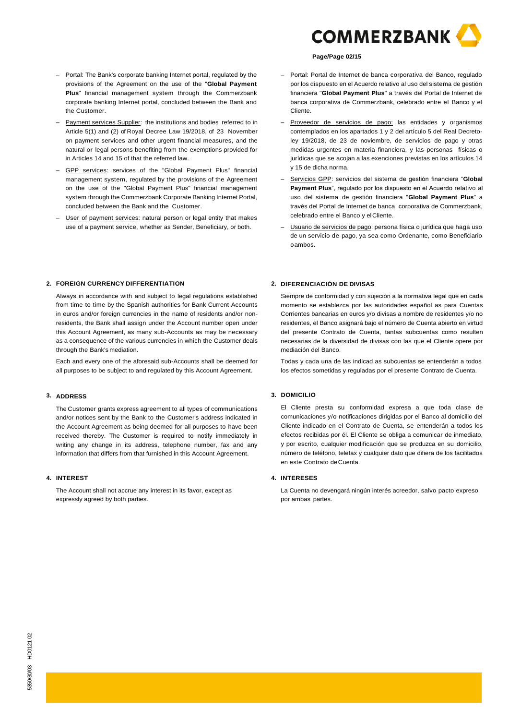

# **Page/Page 02/15**

- Portal: The Bank's corporate banking Internet portal, regulated by the provisions of the Agreement on the use of the "**Global Payment Plus**" financial management system through the Commerzbank corporate banking Internet portal, concluded between the Bank and the Customer.
- Payment services Supplier: the institutions and bodies referred to in Article 5(1) and (2) of Royal Decree Law 19/2018, of 23 November on payment services and other urgent financial measures, and the natural or legal persons benefiting from the exemptions provided for in Articles 14 and 15 of that the referred law.
- GPP services: services of the "Global Payment Plus" financial management system, regulated by the provisions of the Agreement on the use of the "Global Payment Plus" financial management system through the Commerzbank Corporate Banking Internet Portal concluded between the Bank and the Customer.
- User of payment services: natural person or legal entity that makes use of a payment service, whether as Sender, Beneficiary, or both.

# – Portal: Portal de Internet de banca corporativa del Banco, regulado por los dispuesto en el Acuerdo relativo al uso del sistema de gestión financiera "**Global Payment Plus**" a través del Portal de Internet de banca corporativa de Commerzbank, celebrado entre el Banco y el Cliente.

- Proveedor de servicios de pago: las entidades y organismos contemplados en los apartados 1 y 2 del artículo 5 del Real Decretoley 19/2018, de 23 de noviembre, de servicios de pago y otras medidas urgentes en materia financiera, y las personas físicas o jurídicas que se acojan a las exenciones previstas en los artículos 14 y 15 de dicha norma.
- Servicios GPP: servicios del sistema de gestión financiera "**Global Payment Plus**", regulado por los dispuesto en el Acuerdo relativo al uso del sistema de gestión financiera "**Global Payment Plus**" a través del Portal de Internet de banca corporativa de Commerzbank, celebrado entre el Banco y elCliente.
- Usuario de servicios de pago: persona física o jurídica que haga uso de un servicio de pago, ya sea como Ordenante, como Beneficiario oambos.

# **2. FOREIGN CURRENCY DIFFERENTIATION**

Always in accordance with and subject to legal regulations established from time to time by the Spanish authorities for Bank Current Accounts in euros and/or foreign currencies in the name of residents and/or nonresidents, the Bank shall assign under the Account number open under this Account Agreement, as many sub-Accounts as may be necessary as a consequence of the various currencies in which the Customer deals through the Bank's mediation.

Each and every one of the aforesaid sub-Accounts shall be deemed for all purposes to be subject to and regulated by this Account Agreement.

#### **3. ADDRESS**

The Customer grants express agreement to all types of communications and/or notices sent by the Bank to the Customer's address indicated in the Account Agreement as being deemed for all purposes to have been received thereby. The Customer is required to notify immediately in writing any change in its address, telephone number, fax and any information that differs from that furnished in this Account Agreement.

# **4. INTEREST**

The Account shall not accrue any interest in its favor, except as expressly agreed by both parties.

# **2. DIFERENCIACIÓN DE DIVISAS**

Siempre de conformidad y con sujeción a la normativa legal que en cada momento se establezca por las autoridades español as para Cuentas Corrientes bancarias en euros y/o divisas a nombre de residentes y/o no residentes, el Banco asignará bajo el número de Cuenta abierto en virtud del presente Contrato de Cuenta, tantas subcuentas como resulten necesarias de la diversidad de divisas con las que el Cliente opere por mediación del Banco.

Todas y cada una de las indicad as subcuentas se entenderán a todos los efectos sometidas y reguladas por el presente Contrato de Cuenta.

# **3. DOMICILIO**

El Cliente presta su conformidad expresa a que toda clase de comunicaciones y/o notificaciones dirigidas por el Banco al domicilio del Cliente indicado en el Contrato de Cuenta, se entenderán a todos los efectos recibidas por él. El Cliente se obliga a comunicar de inmediato, y por escrito, cualquier modificación que se produzca en su domicilio, número de teléfono, telefax y cualquier dato que difiera de los facilitados en este Contrato deCuenta.

# **4. INTERESES**

La Cuenta no devengará ningún interés acreedor, salvo pacto expreso por ambas partes.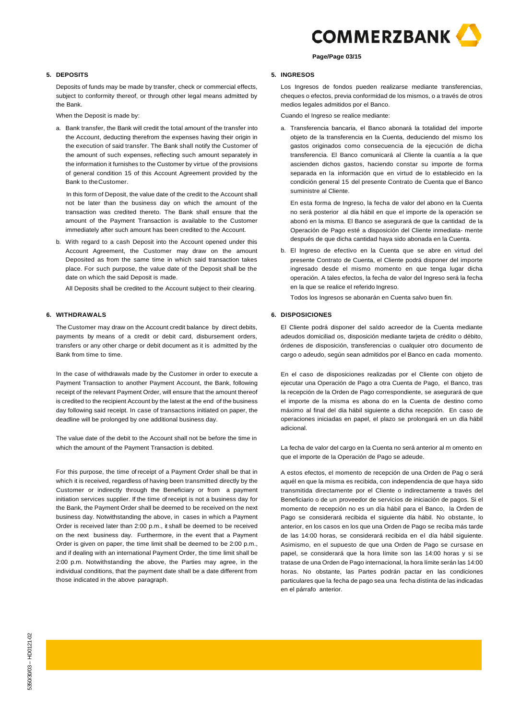

#### **Page/Page 03/15**

# **5. DEPOSITS**

Deposits of funds may be made by transfer, check or commercial effects, subject to conformity thereof, or through other legal means admitted by the Bank.

When the Deposit is made by:

a. Bank transfer, the Bank will credit the total amount of the transfer into the Account, deducting therefrom the expenses having their origin in the execution of said transfer. The Bank shall notify the Customer of the amount of such expenses, reflecting such amount separately in the information it furnishes to the Customer by virtue of the provisions of general condition 15 of this Account Agreement provided by the Bank to theCustomer.

In this form of Deposit, the value date of the credit to the Account shall not be later than the business day on which the amount of the transaction was credited thereto. The Bank shall ensure that the amount of the Payment Transaction is available to the Customer immediately after such amount has been credited to the Account.

b. With regard to a cash Deposit into the Account opened under this Account Agreement, the Customer may draw on the amount Deposited as from the same time in which said transaction takes place. For such purpose, the value date of the Deposit shall be the date on which the said Deposit is made.

All Deposits shall be credited to the Account subject to their clearing.

## **6. WITHDRAWALS**

The Customer may draw on the Account credit balance by direct debits, payments by means of a credit or debit card, disbursement orders, transfers or any other charge or debit document as it is admitted by the Bank from time to time.

In the case of withdrawals made by the Customer in order to execute a Payment Transaction to another Payment Account, the Bank, following receipt of the relevant Payment Order, will ensure that the amount thereof is credited to the recipient Account by the latest at the end of the business day following said receipt. In case of transactions initiated on paper, the deadline will be prolonged by one additional business day.

The value date of the debit to the Account shall not be before the time in which the amount of the Payment Transaction is debited.

For this purpose, the time of receipt of a Payment Order shall be that in which it is received, regardless of having been transmitted directly by the Customer or indirectly through the Beneficiary or from a payment initiation services supplier. If the time of receipt is not a business day for the Bank, the Payment Order shall be deemed to be received on the next business day. Notwithstanding the above, in cases in which a Payment Order is received later than 2:00 p.m., it shall be deemed to be received on the next business day. Furthermore, in the event that a Payment Order is given on paper, the time limit shall be deemed to be 2:00 p.m., and if dealing with an international Payment Order, the time limit shall be 2:00 p.m. Notwithstanding the above, the Parties may agree, in the individual conditions, that the payment date shall be a date different from those indicated in the above paragraph.

# **5. INGRESOS**

Los Ingresos de fondos pueden realizarse mediante transferencias, cheques o efectos, previa conformidad de los mismos, o a través de otros medios legales admitidos por el Banco.

Cuando el Ingreso se realice mediante:

a. Transferencia bancaria, el Banco abonará la totalidad del importe objeto de la transferencia en la Cuenta, deduciendo del mismo los gastos originados como consecuencia de la ejecución de dicha transferencia. El Banco comunicará al Cliente la cuantía a la que ascienden dichos gastos, haciendo constar su importe de forma separada en la información que en virtud de lo establecido en la condición general 15 del presente Contrato de Cuenta que el Banco suministre al Cliente.

En esta forma de Ingreso, la fecha de valor del abono en la Cuenta no será posterior al día hábil en que el importe de la operación se abonó en la misma. El Banco se asegurará de que la cantidad de la Operación de Pago esté a disposición del Cliente inmediata- mente después de que dicha cantidad haya sido abonada en la Cuenta.

b. El Ingreso de efectivo en la Cuenta que se abre en virtud del presente Contrato de Cuenta, el Cliente podrá disponer del importe ingresado desde el mismo momento en que tenga lugar dicha operación. A tales efectos, la fecha de valor del Ingreso será la fecha en la que se realice el referido Ingreso.

Todos los Ingresos se abonarán en Cuenta salvo buen fin.

# **6. DISPOSICIONES**

El Cliente podrá disponer del saldo acreedor de la Cuenta mediante adeudos domiciliad os, disposición mediante tarjeta de crédito o débito, órdenes de disposición, transferencias o cualquier otro documento de cargo o adeudo, según sean admitidos por el Banco en cada momento.

En el caso de disposiciones realizadas por el Cliente con objeto de ejecutar una Operación de Pago a otra Cuenta de Pago, el Banco, tras la recepción de la Orden de Pago correspondiente, se asegurará de que el importe de la misma es abona do en la Cuenta de destino como máximo al final del día hábil siguiente a dicha recepción. En caso de operaciones iniciadas en papel, el plazo se prolongará en un día hábil adicional.

La fecha de valor del cargo en la Cuenta no será anterior al m omento en que el importe de la Operación de Pago se adeude.

A estos efectos, el momento de recepción de una Orden de Pag o será aquél en que la misma es recibida, con independencia de que haya sido transmitida directamente por el Cliente o indirectamente a través del Beneficiario o de un proveedor de servicios de iniciación de pagos. Si el momento de recepción no es un día hábil para el Banco, la Orden de Pago se considerará recibida el siguiente día hábil. No obstante, lo anterior, en los casos en los que una Orden de Pago se reciba más tarde de las 14:00 horas, se considerará recibida en el día hábil siguiente. Asimismo, en el supuesto de que una Orden de Pago se cursase en papel, se considerará que la hora límite son las 14:00 horas y si se tratase de una Orden de Pago internacional, la hora límite serán las 14:00 horas. No obstante, las Partes podrán pactar en las condiciones particulares que la fecha de pago sea una fecha distinta de las indicadas en el párrafo anterior.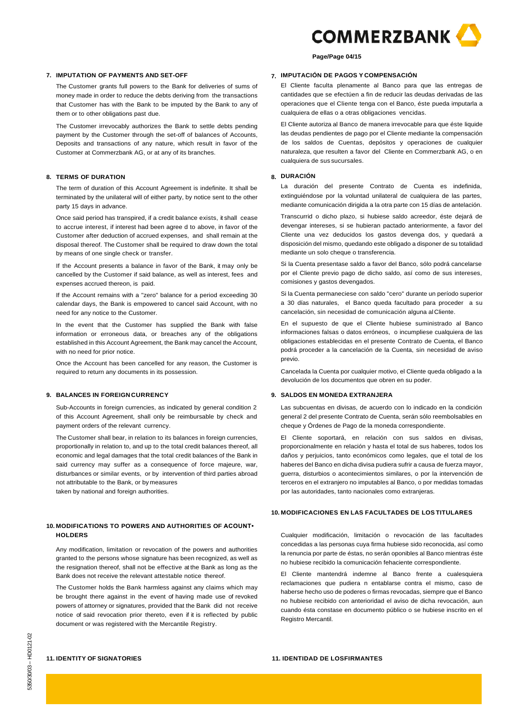

#### **Page/Page 04/15**

# **7. IMPUTATION OF PAYMENTS AND SET-OFF**

The Customer grants full powers to the Bank for deliveries of sums of money made in order to reduce the debts deriving from the transactions that Customer has with the Bank to be imputed by the Bank to any of them or to other obligations past due.

The Customer irrevocably authorizes the Bank to settle debts pending payment by the Customer through the set-off of balances of Accounts, Deposits and transactions of any nature, which result in favor of the Customer at Commerzbank AG, or at any of its branches.

#### **8. TERMS OF DURATION**

The term of duration of this Account Agreement is indefinite. It shall be terminated by the unilateral will of either party, by notice sent to the other party 15 days in advance.

Once said period has transpired, if a credit balance exists, it shall cease to accrue interest, if interest had been agree d to above, in favor of the Customer after deduction of accrued expenses, and shall remain at the disposal thereof. The Customer shall be required to draw down the total by means of one single check or transfer.

If the Account presents a balance in favor of the Bank, it may only be cancelled by the Customer if said balance, as well as interest, fees and expenses accrued thereon, is paid.

If the Account remains with a "zero" balance for a period exceeding 30 calendar days, the Bank is empowered to cancel said Account, with no need for any notice to the Customer.

In the event that the Customer has supplied the Bank with false information or erroneous data, or breaches any of the obligations established in this Account Agreement, the Bank may cancel the Account, with no need for prior notice.

Once the Account has been cancelled for any reason, the Customer is required to return any documents in its possession.

# **9. BALANCES IN FOREIGN CURRENCY**

Sub-Accounts in foreign currencies, as indicated by general condition 2 of this Account Agreement, shall only be reimbursable by check and payment orders of the relevant currency.

The Customer shall bear, in relation to its balances in foreign currencies, proportionally in relation to, and up to the total credit balances thereof, all economic and legal damages that the total credit balances of the Bank in said currency may suffer as a consequence of force majeure, war, disturbances or similar events, or by intervention of third parties abroad not attributable to the Bank, or by measures taken by national and foreign authorities.

# **10. MODIFICATIONS TO POWERS AND AUTHORITIES OF ACOUNT• HOLDERS**

Any modification, limitation or revocation of the powers and authorities granted to the persons whose signature has been recognized, as well as the resignation thereof, shall not be effective at the Bank as long as the Bank does not receive the relevant attestable notice thereof.

The Customer holds the Bank harmless against any claims which may be brought there against in the event of having made use of revoked powers of attorney or signatures, provided that the Bank did not receive notice of said revocation prior thereto, even if it is reflected by public document or was registered with the Mercantile Registry.

# **7. IMPUTACIÓN DE PAGOS Y COMPENSACIÓN**

El Cliente faculta plenamente al Banco para que las entregas de cantidades que se efectúen a fin de reducir las deudas derivadas de las operaciones que el Cliente tenga con el Banco, éste pueda imputarla a cualquiera de ellas o a otras obligaciones vencidas.

El Cliente autoriza al Banco de manera irrevocable para que éste liquide las deudas pendientes de pago por el Cliente mediante la compensación de los saldos de Cuentas, depósitos y operaciones de cualquier naturaleza, que resulten a favor del Cliente en Commerzbank AG, o en cualquiera de sus sucursales.

# **8. DURACIÓN**

La duración del presente Contrato de Cuenta es indefinida, extinguiéndose por la voluntad unilateral de cualquiera de las partes, mediante comunicación dirigida a la otra parte con 15 días de antelación.

Transcurrid o dicho plazo, si hubiese saldo acreedor, éste dejará de devengar intereses, si se hubieran pactado anteriormente, a favor del Cliente una vez deducidos los gastos devenga dos, y quedará a disposición del mismo, quedando este obligado a disponer de su totalidad mediante un solo cheque o transferencia.

Si la Cuenta presentase saldo a favor del Banco, sólo podrá cancelarse por el Cliente previo pago de dicho saldo, así como de sus intereses, comisiones y gastos devengados.

Si la Cuenta permaneciese con saldo "cero" durante un período superior a 30 días naturales, el Banco queda facultado para proceder a su cancelación, sin necesidad de comunicación alguna alCliente.

En el supuesto de que el Cliente hubiese suministrado al Banco informaciones falsas o datos erróneos, o incumpliese cualquiera de las obligaciones establecidas en el presente Contrato de Cuenta, el Banco podrá proceder a la cancelación de la Cuenta, sin necesidad de aviso previo.

Cancelada la Cuenta por cualquier motivo, el Cliente queda obligado a la devolución de los documentos que obren en su poder.

# **9. SALDOS EN MONEDA EXTRANJERA**

Las subcuentas en divisas, de acuerdo con lo indicado en la condición general 2 del presente Contrato de Cuenta, serán sólo reembolsables en cheque y Órdenes de Pago de la moneda correspondiente.

El Cliente soportará, en relación con sus saldos en divisas, proporcionalmente en relación y hasta el total de sus haberes, todos los daños y perjuicios, tanto económicos como legales, que el total de los haberes del Banco en dicha divisa pudiera sufrir a causa de fuerza mayor, guerra, disturbios o acontecimientos similares, o por la intervención de terceros en el extranjero no imputables al Banco, o por medidas tomadas por las autoridades, tanto nacionales como extranjeras.

## **10. MODIFICACIONES EN LAS FACULTADES DE LOS TITULARES**

Cualquier modificación, limitación o revocación de las facultades concedidas a las personas cuya firma hubiese sido reconocida, así como la renuncia por parte de éstas, no serán oponibles al Banco mientras éste no hubiese recibido la comunicación fehaciente correspondiente.

El Cliente mantendrá indemne al Banco frente a cualesquiera reclamaciones que pudiera n entablarse contra el mismo, caso de haberse hecho uso de poderes o firmas revocadas, siempre que el Banco no hubiese recibido con anterioridad el aviso de dicha revocación, aun cuando ésta constase en documento público o se hubiese inscrito en el Registro Mercantil.

# **11. IDENTITY OF SIGNATORIES 11. IDENTIDAD DE LOSFIRMANTES**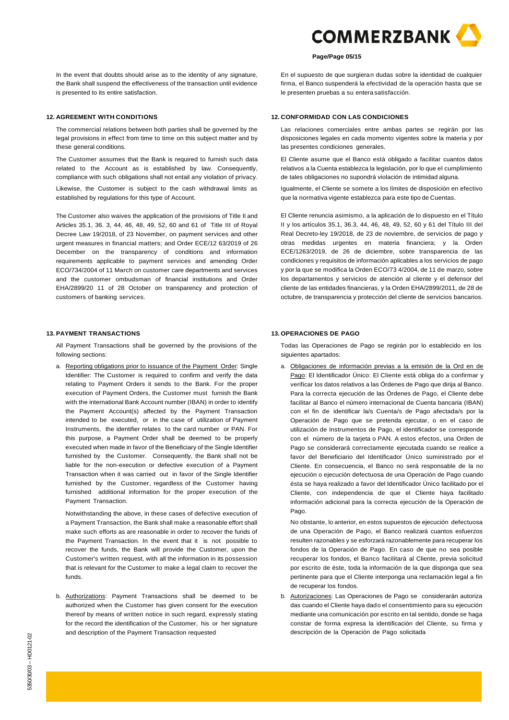

#### **Page/Page 05/15**

In the event that doubts should arise as to the identity of any signature, the Bank shall suspend the effectiveness of the transaction until evidence is presented to its entire satisfaction.

#### **12. AGREEMENT WITH CONDITIONS**

The commercial relations between both parties shall be governed by the legal provisions in effect from time to time on this subject matter and by these general conditions.

The Customer assumes that the Bank is required to furnish such data related to the Account as is established by law. Consequently, compliance with such obligations shall not entail any violation of privacy.

Likewise, the Customer is subject to the cash withdrawal limits as established by regulations for this type of Account.

The Customer also waives the application of the provisions of Title II and Articles 35.1, 36. 3, 44, 46, 48, 49, 52, 60 and 61 of Title III of Royal Decree Law 19/2018, of 23 November, on payment services and other urgent measures in financial matters; and Order ECE/12 63/2019 of 26 December on the transparency of conditions and information requirements applicable to payment services and amending Order ECO/734/2004 of 11 March on customer care departments and services and the customer ombudsman of financial institutions and Order EHA/2899/20 11 of 28 October on transparency and protection of customers of banking services.

#### **13. PAYMENT TRANSACTIONS**

All Payment Transactions shall be governed by the provisions of the following sections:

a. Reporting obligations prior to issuance of the Payment Order: Single Identifier: The Customer is required to confirm and verify the data relating to Payment Orders it sends to the Bank. For the proper execution of Payment Orders, the Customer must furnish the Bank with the international Bank Account number (IBAN) in order to identify the Payment Account(s) affected by the Payment Transaction intended to be executed, or in the case of utilization of Payment Instruments, the identifier relates to the card number or PAN. For this purpose, a Payment Order shall be deemed to be properly executed when made in favor of the Beneficiary of the Single Identifier furnished by the Customer. Consequently, the Bank shall not be liable for the non-execution or defective execution of a Payment Transaction when it was carried out in favor of the Single Identifier furnished by the Customer, regardless of the Customer having furnished additional information for the proper execution of the Payment Transaction.

Notwithstanding the above, in these cases of defective execution of a Payment Transaction, the Bank shall make a reasonable effort shall make such efforts as are reasonable in order to recover the funds of the Payment Transaction. In the event that it is not possible to recover the funds, the Bank will provide the Customer, upon the Customer's written request, with all the information in its possession that is relevant for the Customer to make a legal claim to recover the funds.

b. Authorizations: Payment Transactions shall be deemed to be authorized when the Customer has given consent for the execution thereof by means of written notice in such regard, expressly stating for the record the identification of the Customer, his or her signature and description of the Payment Transaction requested

En el supuesto de que surgieran dudas sobre la identidad de cualquier firma, el Banco suspenderá la efectividad de la operación hasta que se le presenten pruebas a su entera satisfacción.

#### **12. CONFORMIDAD CON LAS CONDICIONES**

Las relaciones comerciales entre ambas partes se regirán por las disposiciones legales en cada momento vigentes sobre la materia y por las presentes condiciones generales.

El Cliente asume que el Banco está obligado a facilitar cuantos datos relativos a la Cuenta establezca la legislación, por lo que el cumplimiento de tales obligaciones no supondrá violación de intimidad alguna.

Igualmente, el Cliente se somete a los límites de disposición en efectivo que la normativa vigente establezca para este tipo de Cuentas.

El Cliente renuncia asimismo, a la aplicación de lo dispuesto en el Título II y los artículos 35.1, 36.3, 44, 46, 48, 49, 52, 60 y 61 del Título III del Real Decreto-ley 19/2018, de 23 de noviembre, de servicios de pago y otras medidas urgentes en materia financiera; y la Orden ECE/1263/2019, de 26 de diciembre, sobre transparencia de las condiciones y requisitos de información aplicables a los servicios de pago y por la que se modifica la Orden ECO/73 4/2004, de 11 de marzo, sobre los departamentos y servicios de atención al cliente y el defensor del cliente de las entidades financieras, y la Orden EHA/2899/2011, de 28 de octubre, de transparencia y protección del cliente de servicios bancarios.

#### **13. OPERACIONES DE PAGO**

Todas las Operaciones de Pago se regirán por lo establecido en los siguientes apartados:

a. Obligaciones de información previas a la emisión de la Ord en de Pago: El Identificador Único: El Cliente está obliga do a confirmar y verificar los datos relativos a las Órdenes de Pago que dirija al Banco. Para la correcta ejecución de las Órdenes de Pago, el Cliente debe facilitar al Banco el número internacional de Cuenta bancaria (IBAN) con el fin de identificar la/s Cuenta/s de Pago afectada/s por la Operación de Pago que se pretenda ejecutar, o en el caso de utilización de Instrumentos de Pago, el identificador se corresponde con el número de la tarjeta o PAN. A estos efectos, una Orden de Pago se considerará correctamente ejecutada cuando se realice a favor del Beneficiario del Identificador Único suministrado por el Cliente. En consecuencia, el Banco no será responsable de la no ejecución o ejecución defectuosa de una Operación de Pago cuando ésta se haya realizado a favor del Identificador Único facilitado por el Cliente, con independencia de que el Cliente haya facilitado información adicional para la correcta ejecución de la Operación de Pago.

No obstante, lo anterior, en estos supuestos de ejecución defectuosa de una Operación de Pago, el Banco realizará cuantos esfuerzos resulten razonables y se esforzará razonablemente para recuperar los fondos de la Operación de Pago. En caso de que no sea posible recuperar los fondos, el Banco facilitará al Cliente, previa solicitud por escrito de éste, toda la información de la que disponga que sea pertinente para que el Cliente interponga una reclamación legal a fin de recuperar los fondos.

b. Autorizaciones: Las Operaciones de Pago se considerarán autoriza das cuando el Cliente haya dado el consentimiento para su ejecución mediante una comunicación por escrito en tal sentido, donde se haga constar de forma expresa la identificación del Cliente, su firma y descripción de la Operación de Pago solicitada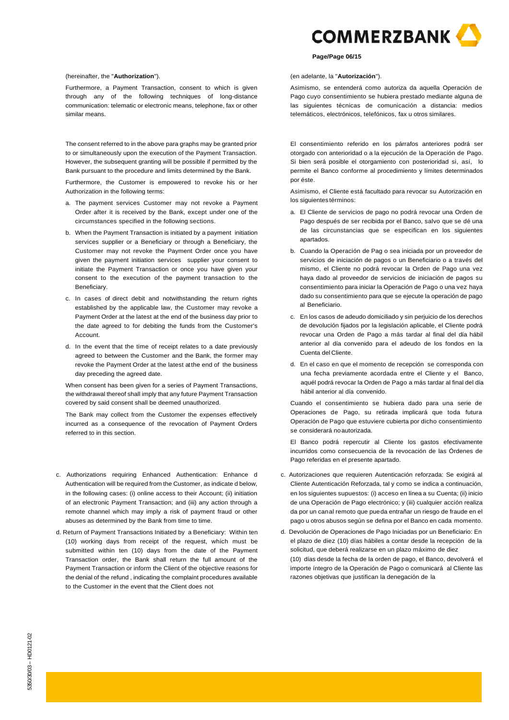#### (hereinafter, the "**Authorization**").

Furthermore, a Payment Transaction, consent to which is given through any of the following techniques of long-distance communication: telematic or electronic means, telephone, fax or other similar means.

The consent referred to in the above para graphs may be granted prior to or simultaneously upon the execution of the Payment Transaction. However, the subsequent granting will be possible if permitted by the Bank pursuant to the procedure and limits determined by the Bank.

Furthermore, the Customer is empowered to revoke his or her Authorization in the following terms:

- a. The payment services Customer may not revoke a Payment Order after it is received by the Bank, except under one of the circumstances specified in the following sections.
- b. When the Payment Transaction is initiated by a payment initiation services supplier or a Beneficiary or through a Beneficiary, the Customer may not revoke the Payment Order once you have given the payment initiation services supplier your consent to initiate the Payment Transaction or once you have given your consent to the execution of the payment transaction to the Beneficiary.
- c. In cases of direct debit and notwithstanding the return rights established by the applicable law, the Customer may revoke a Payment Order at the latest at the end of the business day prior to the date agreed to for debiting the funds from the Customer's Account.
- d. In the event that the time of receipt relates to a date previously agreed to between the Customer and the Bank, the former may revoke the Payment Order at the latest at the end of the business day preceding the agreed date.

When consent has been given for a series of Payment Transactions, the withdrawal thereof shall imply that any future Payment Transaction covered by said consent shall be deemed unauthorized.

The Bank may collect from the Customer the expenses effectively incurred as a consequence of the revocation of Payment Orders referred to in this section.

- c. Authorizations requiring Enhanced Authentication: Enhance d Authentication will be required from the Customer, as indicate d below, in the following cases: (i) online access to their Account; (ii) initiation of an electronic Payment Transaction; and (iii) any action through a remote channel which may imply a risk of payment fraud or other abuses as determined by the Bank from time to time.
- d. Return of Payment Transactions Initiated by a Beneficiary: Within ten (10) working days from receipt of the request, which must be submitted within ten (10) days from the date of the Payment Transaction order, the Bank shall return the full amount of the Payment Transaction or inform the Client of the objective reasons for the denial of the refund , indicating the complaint procedures available to the Customer in the event that the Client does not



# **Page/Page 06/15**

(en adelante, la "**Autorización**").

Asimismo, se entenderá como autoriza da aquella Operación de Pago cuyo consentimiento se hubiera prestado mediante alguna de las siguientes técnicas de comunicación a distancia: medios telemáticos, electrónicos, telefónicos, fax u otros similares.

El consentimiento referido en los párrafos anteriores podrá ser otorgado con anterioridad o a la ejecución de la Operación de Pago. Si bien será posible el otorgamiento con posterioridad si, así, lo permite el Banco conforme al procedimiento y límites determinados por éste.

Asimismo, el Cliente está facultado para revocar su Autorización en los siguientes términos:

- a. El Cliente de servicios de pago no podrá revocar una Orden de Pago después de ser recibida por el Banco, salvo que se dé una de las circunstancias que se especifican en los siguientes apartados.
- b. Cuando la Operación de Pag o sea iniciada por un proveedor de servicios de iniciación de pagos o un Beneficiario o a través del mismo, el Cliente no podrá revocar la Orden de Pago una vez haya dado al proveedor de servicios de iniciación de pagos su consentimiento para iniciar la Operación de Pago o una vez haya dado su consentimiento para que se ejecute la operación de pago al Beneficiario.
- c. En los casos de adeudo domiciliado y sin perjuicio de los derechos de devolución fijados por la legislación aplicable, el Cliente podrá revocar una Orden de Pago a más tardar al final del día hábil anterior al día convenido para el adeudo de los fondos en la Cuenta del Cliente.
- d. En el caso en que el momento de recepción se corresponda con una fecha previamente acordada entre el Cliente y el Banco, aquél podrá revocar la Orden de Pago a más tardar al final del día hábil anterior al día convenido.

Cuando el consentimiento se hubiera dado para una serie de Operaciones de Pago, su retirada implicará que toda futura Operación de Pago que estuviere cubierta por dicho consentimiento se considerará noautorizada.

El Banco podrá repercutir al Cliente los gastos efectivamente incurridos como consecuencia de la revocación de las Órdenes de Pago referidas en el presente apartado.

- c. Autorizaciones que requieren Autenticación reforzada: Se exigirá al Cliente Autenticación Reforzada, tal y como se indica a continuación, en los siguientes supuestos: (i) acceso en línea a su Cuenta; (ii) inicio de una Operación de Pago electrónico; y (iii) cualquier acción realiza da por un canal remoto que pueda entrañar un riesgo de fraude en el pago u otros abusos según se defina por el Banco en cada momento.
- d. Devolución de Operaciones de Pago Iniciadas por un Beneficiario: En el plazo de diez (10) días hábiles a contar desde la recepción de la solicitud, que deberá realizarse en un plazo máximo de diez (10) días desde la fecha de la orden de pago, el Banco, devolverá el importe íntegro de la Operación de Pago o comunicará al Cliente las razones objetivas que justifican la denegación de la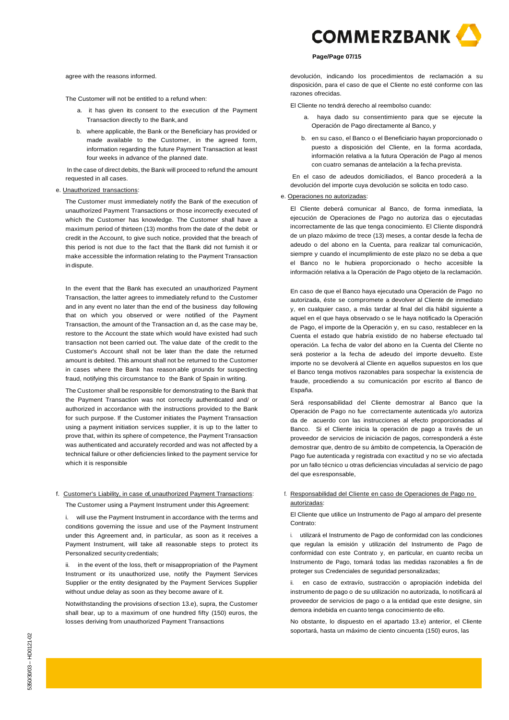

#### **Page/Page 07/15**

agree with the reasons informed.

The Customer will not be entitled to a refund when:

- a. it has given its consent to the execution of the Payment Transaction directly to the Bank,and
- b. where applicable, the Bank or the Beneficiary has provided or made available to the Customer, in the agreed form, information regarding the future Payment Transaction at least four weeks in advance of the planned date.

In the case of direct debits, the Bank will proceed to refund the amount requested in all cases.

e. Unauthorized transactions:

The Customer must immediately notify the Bank of the execution of unauthorized Payment Transactions or those incorrectly executed of which the Customer has knowledge. The Customer shall have a maximum period of thirteen (13) months from the date of the debit or credit in the Account, to give such notice, provided that the breach of this period is not due to the fact that the Bank did not furnish it or make accessible the information relating to the Payment Transaction in dispute.

In the event that the Bank has executed an unauthorized Payment Transaction, the latter agrees to immediately refund to the Customer and in any event no later than the end of the business day following that on which you observed or were notified of the Payment Transaction, the amount of the Transaction an d, as the case may be, restore to the Account the state which would have existed had such transaction not been carried out. The value date of the credit to the Customer's Account shall not be later than the date the returned amount is debited. This amount shall not be returned to the Customer in cases where the Bank has reason able grounds for suspecting fraud, notifying this circumstance to the Bank of Spain in writing.

The Customer shall be responsible for demonstrating to the Bank that the Payment Transaction was not correctly authenticated and/ or authorized in accordance with the instructions provided to the Bank for such purpose. If the Customer initiates the Payment Transaction using a payment initiation services supplier, it is up to the latter to prove that, within its sphere of competence, the Payment Transaction was authenticated and accurately recorded and was not affected by a technical failure or other deficiencies linked to the payment service for which it is responsible

f. Customer's Liability, in case of, unauthorized Payment Transactions: The Customer using a Payment Instrument under this Agreement:

i. will use the Payment Instrument in accordance with the terms and conditions governing the issue and use of the Payment Instrument under this Agreement and, in particular, as soon as it receives a Payment Instrument, will take all reasonable steps to protect its Personalized security credentials;

ii. in the event of the loss, theft or misappropriation of the Payment Instrument or its unauthorized use, notify the Payment Services Supplier or the entity designated by the Payment Services Supplier without undue delay as soon as they become aware of it.

Notwithstanding the provisions of section 13.e), supra, the Customer shall bear, up to a maximum of one hundred fifty (150) euros, the losses deriving from unauthorized Payment Transactions

devolución, indicando los procedimientos de reclamación a su disposición, para el caso de que el Cliente no esté conforme con las razones ofrecidas.

El Cliente no tendrá derecho al reembolso cuando:

- a. haya dado su consentimiento para que se ejecute la Operación de Pago directamente al Banco, y
- b. en su caso, el Banco o el Beneficiario hayan proporcionado o puesto a disposición del Cliente, en la forma acordada, información relativa a la futura Operación de Pago al menos con cuatro semanas de antelación a la fecha prevista.

En el caso de adeudos domiciliados, el Banco procederá a la devolución del importe cuya devolución se solicita en todo caso.

#### e. Operaciones no autorizadas:

El Cliente deberá comunicar al Banco, de forma inmediata, la ejecución de Operaciones de Pago no autoriza das o ejecutadas incorrectamente de las que tenga conocimiento. El Cliente dispondrá de un plazo máximo de trece (13) meses, a contar desde la fecha de adeudo o del abono en la Cuenta, para realizar tal comunicación, siempre y cuando el incumplimiento de este plazo no se deba a que el Banco no le hubiera proporcionado o hecho accesible la información relativa a la Operación de Pago objeto de la reclamación.

En caso de que el Banco haya ejecutado una Operación de Pago no autorizada, éste se compromete a devolver al Cliente de inmediato y, en cualquier caso, a más tardar al final del día hábil siguiente a aquel en el que haya observado o se le haya notificado la Operación de Pago, el importe de la Operación y, en su caso, restablecer en la Cuenta el estado que habría existido de no haberse efectuado tal operación. La fecha de valor del abono en la Cuenta del Cliente no será posterior a la fecha de adeudo del importe devuelto. Este importe no se devolverá al Cliente en aquellos supuestos en los que el Banco tenga motivos razonables para sospechar la existencia de fraude, procediendo a su comunicación por escrito al Banco de España.

Será responsabilidad del Cliente demostrar al Banco que la Operación de Pago no fue correctamente autenticada y/o autoriza da de acuerdo con las instrucciones al efecto proporcionadas al Banco. Si el Cliente inicia la operación de pago a través de un proveedor de servicios de iniciación de pagos, corresponderá a éste demostrar que, dentro de su ámbito de competencia, la Operación de Pago fue autenticada y registrada con exactitud y no se vio afectada por un fallo técnico u otras deficiencias vinculadas al servicio de pago del que esresponsable,

### f. Responsabilidad del Cliente en caso de Operaciones de Pago no autorizadas:

El Cliente que utilice un Instrumento de Pago al amparo del presente Contrato:

i. utilizará el Instrumento de Pago de conformidad con las condiciones que regulan la emisión y utilización del Instrumento de Pago de conformidad con este Contrato y, en particular, en cuanto reciba un Instrumento de Pago, tomará todas las medidas razonables a fin de proteger sus Credenciales de seguridad personalizadas;

ii. en caso de extravío, sustracción o apropiación indebida del instrumento de pago o de su utilización no autorizada, lo notificará al proveedor de servicios de pago o a la entidad que este designe, sin demora indebida en cuanto tenga conocimiento de ello.

No obstante, lo dispuesto en el apartado 13.e) anterior, el Cliente soportará, hasta un máximo de ciento cincuenta (150) euros, las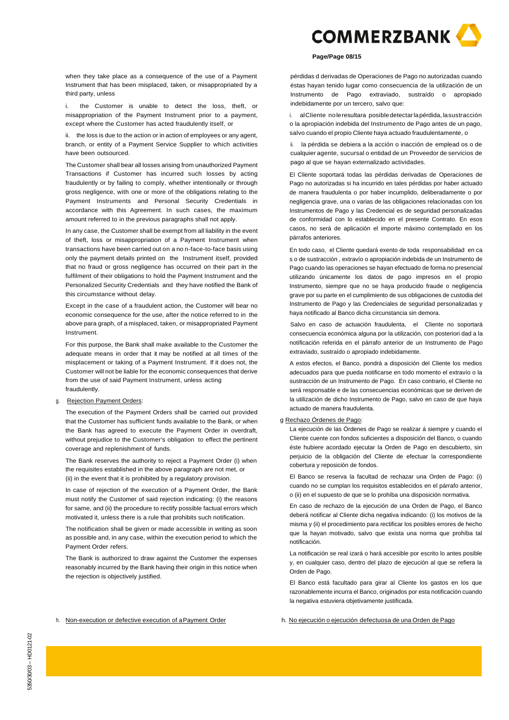

#### **Page/Page 08/15**

when they take place as a consequence of the use of a Payment Instrument that has been misplaced, taken, or misappropriated by a third party, unless

i. the Customer is unable to detect the loss, theft, or misappropriation of the Payment Instrument prior to a payment, except where the Customer has acted fraudulently itself, or

ii. the loss is due to the action or in action of employees or any agent, branch, or entity of a Payment Service Supplier to which activities have been outsourced.

The Customer shall bear all losses arising from unauthorized Payment Transactions if Customer has incurred such losses by acting fraudulently or by failing to comply, whether intentionally or through gross negligence, with one or more of the obligations relating to the Payment Instruments and Personal Security Credentials in accordance with this Agreement. In such cases, the maximum amount referred to in the previous paragraphs shall not apply.

In any case, the Customer shall be exempt from all liability in the event of theft, loss or misappropriation of a Payment Instrument when transactions have been carried out on a no n-face-to-face basis using only the payment details printed on the Instrument itself, provided that no fraud or gross negligence has occurred on their part in the fulfilment of their obligations to hold the Payment Instrument and the Personalized Security Credentials and they have notified the Bank of this circumstance without delay.

Except in the case of a fraudulent action, the Customer will bear no economic consequence for the use, after the notice referred to in the above para graph, of a misplaced, taken, or misappropriated Payment Instrument.

For this purpose, the Bank shall make available to the Customer the adequate means in order that it may be notified at all times of the misplacement or taking of a Payment Instrument. If it does not, the Customer will not be liable for the economic consequences that derive from the use of said Payment Instrument, unless acting fraudulently.

#### g. Rejection Payment Orders:

The execution of the Payment Orders shall be carried out provided that the Customer has sufficient funds available to the Bank, or when the Bank has agreed to execute the Payment Order in overdraft, without prejudice to the Customer's obligation to effect the pertinent coverage and replenishment of funds.

The Bank reserves the authority to reject a Payment Order (i) when the requisites established in the above paragraph are not met, or (ii) in the event that it is prohibited by a regulatory provision.

In case of rejection of the execution of a Payment Order, the Bank must notify the Customer of said rejection indicating: (i) the reasons for same, and (ii) the procedure to rectify possible factual errors which motivated it, unless there is a rule that prohibits such notification.

The notification shall be given or made accessible in writing as soon as possible and, in any case, within the execution period to which the Payment Order refers.

The Bank is authorized to draw against the Customer the expenses reasonably incurred by the Bank having their origin in this notice when the rejection is objectively justified.

pérdidas d derivadas de Operaciones de Pago no autorizadas cuando éstas hayan tenido lugar como consecuencia de la utilización de un Instrumento de Pago extraviado, sustraído o apropiado indebidamente por un tercero, salvo que:

alCliente noleresultara posibledetectarlapérdida, lasustracción o la apropiación indebida del Instrumento de Pago antes de un pago, salvo cuando el propio Cliente haya actuado fraudulentamente, o

ii. la pérdida se debiera a la acción o inacción de emplead os o de cualquier agente, sucursal o entidad de un Proveedor de servicios de pago al que se hayan externalizado actividades.

El Cliente soportará todas las pérdidas derivadas de Operaciones de Pago no autorizadas si ha incurrido en tales pérdidas por haber actuado de manera fraudulenta o por haber incumplido, deliberadamente o por negligencia grave, una o varias de las obligaciones relacionadas con los Instrumentos de Pago y las Credencial es de seguridad personalizadas de conformidad con lo establecido en el presente Contrato. En esos casos, no será de aplicación el importe máximo contemplado en los párrafos anteriores.

En todo caso, el Cliente quedará exento de toda responsabilidad en ca s o de sustracción , extravío o apropiación indebida de un Instrumento de Pago cuando las operaciones se hayan efectuado de forma no presencial utilizando únicamente los datos de pago impresos en el propio Instrumento, siempre que no se haya producido fraude o negligencia grave por su parte en el cumplimiento de sus obligaciones de custodia del Instrumento de Pago y las Credenciales de seguridad personalizadas y haya notificado al Banco dicha circunstancia sin demora.

Salvo en caso de actuación fraudulenta, el Cliente no soportará consecuencia económica alguna por la utilización, con posteriori dad a la notificación referida en el párrafo anterior de un Instrumento de Pago extraviado, sustraído o apropiado indebidamente.

A estos efectos, el Banco, pondrá a disposición del Cliente los medios adecuados para que pueda notificarse en todo momento el extravío o la sustracción de un Instrumento de Pago. En caso contrario, el Cliente no será responsable e de las consecuencias económicas que se deriven de la utilización de dicho Instrumento de Pago, salvo en caso de que haya actuado de manera fraudulenta.

# g Rechazo Órdenes de Pago:

La ejecución de las Órdenes de Pago se realizar á siempre y cuando el Cliente cuente con fondos suficientes a disposición del Banco, o cuando éste hubiere acordado ejecutar la Orden de Pago en descubierto, sin perjuicio de la obligación del Cliente de efectuar la correspondiente cobertura y reposición de fondos.

El Banco se reserva la facultad de rechazar una Orden de Pago: (i) cuando no se cumplan los requisitos establecidos en el párrafo anterior, o (ii) en el supuesto de que se lo prohíba una disposición normativa.

En caso de rechazo de la ejecución de una Orden de Pago, el Banco deberá notificar al Cliente dicha negativa indicando: (i) los motivos de la misma y (ii) el procedimiento para rectificar los posibles errores de hecho que la hayan motivado, salvo que exista una norma que prohíba tal notificación.

La notificación se real izará o hará accesible por escrito lo antes posible y, en cualquier caso, dentro del plazo de ejecución al que se refiera la Orden de Pago.

El Banco está facultado para girar al Cliente los gastos en los que razonablemente incurra el Banco, originados por esta notificación cuando la negativa estuviera objetivamente justificada.

h. Non-execution or defective execution of a Payment Order h. No ejecución o ejecución defectuosa de una Orden de Pago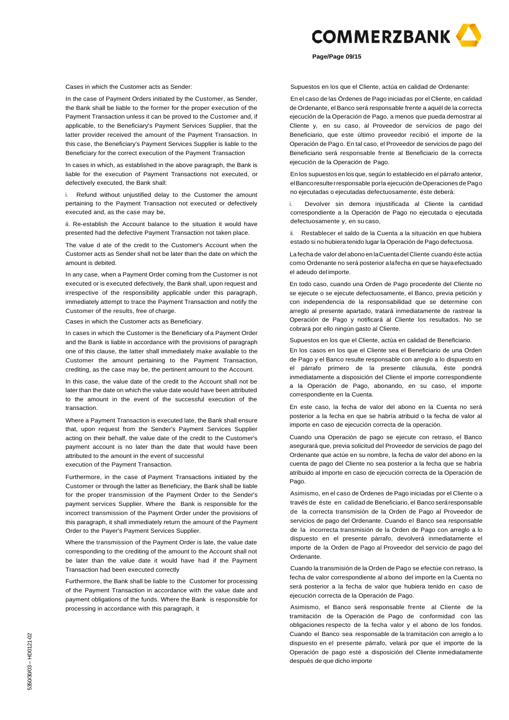

**Page/Page 09/15**

Cases in which the Customer acts as Sender:

In the case of Payment Orders initiated by the Customer, as Sender, the Bank shall be liable to the former for the proper execution of the Payment Transaction unless it can be proved to the Customer and, if applicable, to the Beneficiary's Payment Services Supplier, that the latter provider received the amount of the Payment Transaction. In this case, the Beneficiary's Payment Services Supplier is liable to the Beneficiary for the correct execution of the Payment Transaction

In cases in which, as established in the above paragraph, the Bank is liable for the execution of Payment Transactions not executed, or defectively executed, the Bank shall:

i. Refund without unjustified delay to the Customer the amount pertaining to the Payment Transaction not executed or defectively executed and, as the case may be,

ii. Re-establish the Account balance to the situation it would have presented had the defective Payment Transaction not taken place.

The value d ate of the credit to the Customer's Account when the Customer acts as Sender shall not be later than the date on which the amount is debited.

In any case, when a Payment Order coming from the Customer is not executed or is executed defectively, the Bank shall, upon request and irrespective of the responsibility applicable under this paragraph, immediately attempt to trace the Payment Transaction and notify the Customer of the results, free of charge.

Cases in which the Customer acts as Beneficiary.

In cases in which the Customer is the Beneficiary of a Payment Order and the Bank is liable in accordance with the provisions of paragraph one of this clause, the latter shall immediately make available to the Customer the amount pertaining to the Payment Transaction, crediting, as the case may be, the pertinent amount to the Account.

In this case, the value date of the credit to the Account shall not be later than the date on which the value date would have been attributed to the amount in the event of the successful execution of the transaction.

Where a Payment Transaction is executed late, the Bank shall ensure that, upon request from the Sender's Payment Services Supplier acting on their behalf, the value date of the credit to the Customer's payment account is no later than the date that would have been attributed to the amount in the event of successful execution of the Payment Transaction.

Furthermore, in the case of Payment Transactions initiated by the Customer or through the latter as Beneficiary, the Bank shall be liable for the proper transmission of the Payment Order to the Sender's payment services Supplier. Where the Bank is responsible for the incorrect transmission of the Payment Order under the provisions of this paragraph, it shall immediately return the amount of the Payment Order to the Payer's Payment Services Supplier.

Where the transmission of the Payment Order is late, the value date corresponding to the crediting of the amount to the Account shall not be later than the value date it would have had if the Payment Transaction had been executed correctly

Furthermore, the Bank shall be liable to the Customer for processing of the Payment Transaction in accordance with the value date and payment obligations of the funds. Where the Bank is responsible for processing in accordance with this paragraph, it

Supuestos en los que el Cliente, actúa en calidad de Ordenante:

En el caso de las Órdenes de Pago iniciadas por el Cliente, en calidad de Ordenante, el Banco será responsable frente a aquél de la correcta ejecución de la Operación de Pago, a menos que pueda demostrar al Cliente y, en su caso, al Proveedor de servicios de pago del Beneficiario, que este último proveedor recibió el importe de la Operación de Pago. En tal caso, el Proveedor de servicios de pago del Beneficiario será responsable frente al Beneficiario de la correcta ejecución de la Operación de Pago.

En los supuestos en los que, según lo establecido en el párrafo anterior, elBancoresulterresponsable porla ejecución deOperaciones dePago no ejecutadas o ejecutadas defectuosamente, éste deberá:

i. Devolver sin demora injustificada al Cliente la cantidad correspondiente a la Operación de Pago no ejecutada o ejecutada defectuosamente y, en su caso,

ii. Restablecer el saldo de la Cuenta a la situación en que hubiera estado si no hubiera tenido lugar la Operación de Pago defectuosa.

La fecha de valor del abono en laCuenta del Cliente cuando éste actúa como Ordenante no será posterior alafecha en quese hayaefectuado el adeudo del importe.

En todo caso, cuando una Orden de Pago procedente del Cliente no se ejecute o se ejecute defectuosamente, el Banco, previa petición y con independencia de la responsabilidad que se determine con arreglo al presente apartado, tratará inmediatamente de rastrear la Operación de Pago y notificará al Cliente los resultados. No se cobrará por ello ningún gasto al Cliente.

Supuestos en los que el Cliente, actúa en calidad de Beneficiario.

En los casos en los que el Cliente sea el Beneficiario de una Orden de Pago y el Banco resulte responsable con arreglo a lo dispuesto en el párrafo primero de la presente cláusula, éste pondrá inmediatamente a disposición del Cliente el importe correspondiente a la Operación de Pago, abonando, en su caso, el importe correspondiente en la Cuenta.

En este caso, la fecha de valor del abono en la Cuenta no será posterior a la fecha en que se habría atribuid o la fecha de valor al importe en caso de ejecución correcta de la operación.

Cuando una Operación de pago se ejecute con retraso, el Banco asegurará que, previa solicitud del Proveedor de servicios de pago del Ordenante que actúe en su nombre, la fecha de valor del abono en la cuenta de pago del Cliente no sea posterior a la fecha que se habría atribuido al importe en caso de ejecución correcta de la Operación de Pago.

Asimismo, en el caso de Órdenes de Pago iniciadas por el Cliente o a través de éste en calidad de Beneficiario, el Banco seráresponsable de la correcta transmisión de la Orden de Pago al Proveedor de servicios de pago del Ordenante. Cuando el Banco sea responsable de la incorrecta transmisión de la Orden de Pago con arreglo a lo dispuesto en el presente párrafo, devolverá inmediatamente el importe de la Orden de Pago al Proveedor del servicio de pago del Ordenante.

Cuando la transmisión de la Orden de Pago se efectúe con retraso, la fecha de valor correspondiente al abono del importe en la Cuenta no será posterior a la fecha de valor que hubiera tenido en caso de ejecución correcta de la Operación de Pago.

Asimismo, el Banco será responsable frente al Cliente de la tramitación de la Operación de Pago de conformidad con las obligaciones respecto de la fecha valor y el abono de los fondos. Cuando el Banco sea responsable de la tramitación con arreglo a lo dispuesto en el presente párrafo, velará por que el importe de la Operación de pago esté a disposición del Cliente inmediatamente después de que dicho importe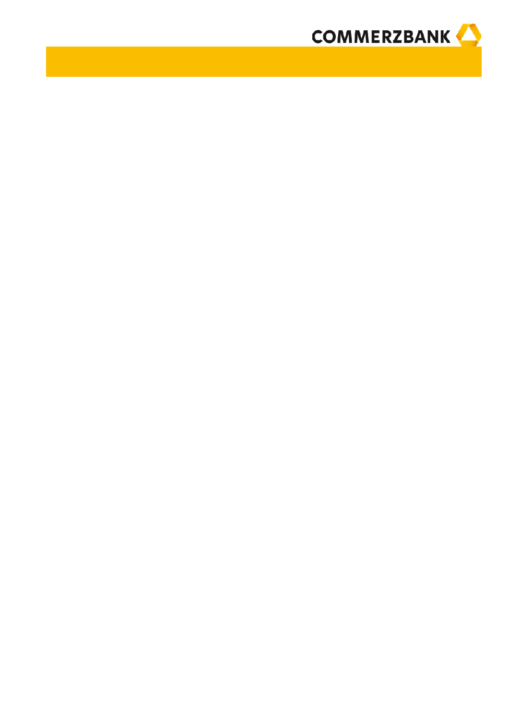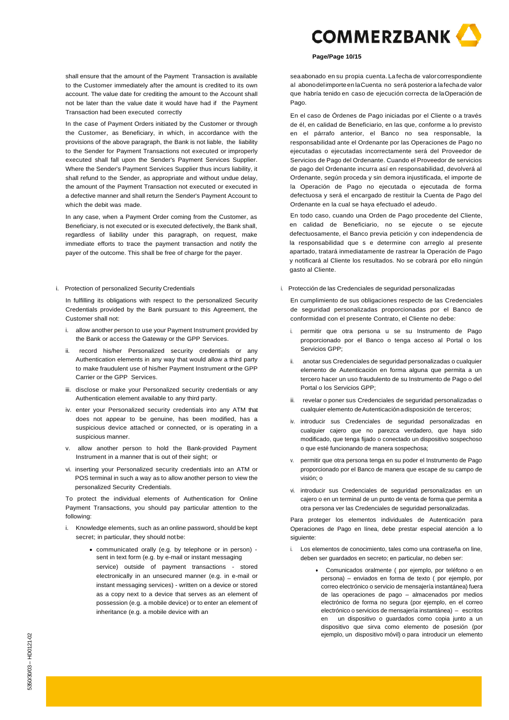

# **Page/Page 10/15**

shall ensure that the amount of the Payment Transaction is available to the Customer immediately after the amount is credited to its own account. The value date for crediting the amount to the Account shall not be later than the value date it would have had if the Payment Transaction had been executed correctly

In the case of Payment Orders initiated by the Customer or through the Customer, as Beneficiary, in which, in accordance with the provisions of the above paragraph, the Bank is not liable, the liability to the Sender for Payment Transactions not executed or improperly executed shall fall upon the Sender's Payment Services Supplier. Where the Sender's Payment Services Supplier thus incurs liability, it shall refund to the Sender, as appropriate and without undue delay, the amount of the Payment Transaction not executed or executed in a defective manner and shall return the Sender's Payment Account to which the debit was made.

In any case, when a Payment Order coming from the Customer, as Beneficiary, is not executed or is executed defectively, the Bank shall, regardless of liability under this paragraph, on request, make immediate efforts to trace the payment transaction and notify the payer of the outcome. This shall be free of charge for the payer.

#### i. Protection of personalized Security Credentials

In fulfilling its obligations with respect to the personalized Security Credentials provided by the Bank pursuant to this Agreement, the Customer shall not:

- i. allow another person to use your Payment Instrument provided by the Bank or access the Gateway or the GPP Services.
- record his/her Personalized security credentials or any Authentication elements in any way that would allow a third party to make fraudulent use of his/her Payment Instrument or the GPP Carrier or the GPP Services.
- iii. disclose or make your Personalized security credentials or any Authentication element available to any third party.
- iv. enter your Personalized security credentials into any ATM that does not appear to be genuine, has been modified, has a suspicious device attached or connected, or is operating in a suspicious manner.
- v. allow another person to hold the Bank-provided Payment Instrument in a manner that is out of their sight; or
- vi. inserting your Personalized security credentials into an ATM or POS terminal in such a way as to allow another person to view the personalized Security Credentials.

To protect the individual elements of Authentication for Online Payment Transactions, you should pay particular attention to the following:

- i. Knowledge elements, such as an online password, should be kept secret; in particular, they should notbe:
	- communicated orally (e.g. by telephone or in person) sent in text form (e.g. by e-mail or instant messaging service) outside of payment transactions - stored electronically in an unsecured manner (e.g. in e-mail or instant messaging services) - written on a device or stored as a copy next to a device that serves as an element of possession (e.g. a mobile device) or to enter an element of inheritance (e.g. a mobile device with an

seaabonado en su propia cuenta. La fecha de valorcorrespondiente al abonodel importeen laCuenta no será posteriora lafechade valor que habría tenido en caso de ejecución correcta de laOperación de Pago.

En el caso de Órdenes de Pago iniciadas por el Cliente o a través de él, en calidad de Beneficiario, en las que, conforme a lo previsto en el párrafo anterior, el Banco no sea responsable, la responsabilidad ante el Ordenante por las Operaciones de Pago no ejecutadas o ejecutadas incorrectamente será del Proveedor de Servicios de Pago del Ordenante. Cuando el Proveedor de servicios de pago del Ordenante incurra así en responsabilidad, devolverá al Ordenante, según proceda y sin demora injustificada, el importe de la Operación de Pago no ejecutada o ejecutada de forma defectuosa y será el encargado de restituir la Cuenta de Pago del Ordenante en la cual se haya efectuado el adeudo.

En todo caso, cuando una Orden de Pago procedente del Cliente, en calidad de Beneficiario, no se ejecute o se ejecute defectuosamente, el Banco previa petición y con independencia de la responsabilidad que s e determine con arreglo al presente apartado, tratará inmediatamente de rastrear la Operación de Pago y notificará al Cliente los resultados. No se cobrará por ello ningún gasto al Cliente.

i. Protección de las Credenciales de seguridad personalizadas

En cumplimiento de sus obligaciones respecto de las Credenciales de seguridad personalizadas proporcionadas por el Banco de conformidad con el presente Contrato, el Cliente no debe:

- i. permitir que otra persona u se su Instrumento de Pago proporcionado por el Banco o tenga acceso al Portal o los Servicios GPP;
- ii. anotar sus Credenciales de seguridad personalizadas o cualquier elemento de Autenticación en forma alguna que permita a un tercero hacer un uso fraudulento de su Instrumento de Pago o del Portal o los Servicios GPP;
- iii. revelar o poner sus Credenciales de seguridad personalizadas o cualquier elemento deAutenticaciónadisposición de terceros;
- iv. introducir sus Credenciales de seguridad personalizadas en cualquier cajero que no parezca verdadero, que haya sido modificado, que tenga fijado o conectado un dispositivo sospechoso o que esté funcionando de manera sospechosa;
- permitir que otra persona tenga en su poder el Instrumento de Pago proporcionado por el Banco de manera que escape de su campo de visión; o
- vi. introducir sus Credenciales de seguridad personalizadas en un cajero o en un terminal de un punto de venta de forma que permita a otra persona ver las Credenciales de seguridad personalizadas.

Para proteger los elementos individuales de Autenticación para Operaciones de Pago en línea, debe prestar especial atención a lo siguiente:

- i. Los elementos de conocimiento, tales como una contraseña on line, deben ser guardados en secreto; en particular, no deben ser:
	- Comunicados oralmente ( por ejemplo, por teléfono o en persona) – enviados en forma de texto ( por ejemplo, por correo electrónico o servicio de mensajería instantánea) fuera de las operaciones de pago – almacenados por medios electrónico de forma no segura (por ejemplo, en el correo electrónico o servicios de mensajería instantánea) – escritos en un dispositivo o guardados como copia junto a un dispositivo que sirva como elemento de posesión (por ejemplo, un dispositivo móvil) o para introducir un elemento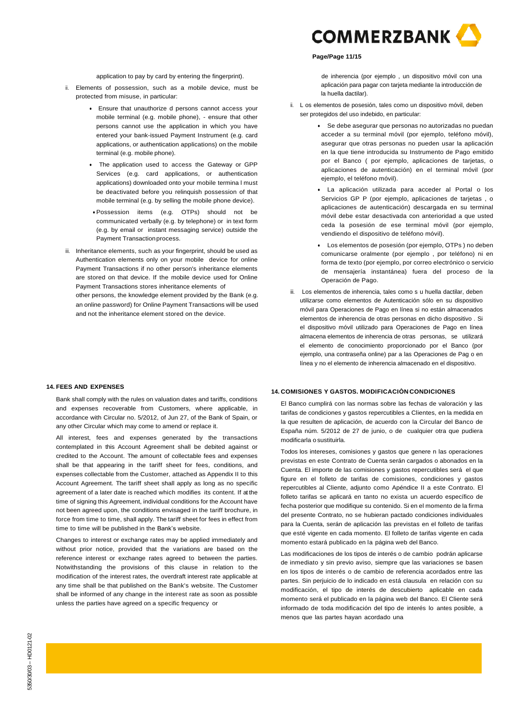

# **Page/Page 11/15**

application to pay by card by entering the fingerprint).

- ii. Elements of possession, such as a mobile device, must be protected from misuse, in particular:
	- Ensure that unauthorize d persons cannot access your mobile terminal (e.g. mobile phone), - ensure that other persons cannot use the application in which you have entered your bank-issued Payment Instrument (e.g. card applications, or authentication applications) on the mobile terminal (e.g. mobile phone).
	- The application used to access the Gateway or GPP Services (e.g. card applications, or authentication applications) downloaded onto your mobile termina l must be deactivated before you relinquish possession of that mobile terminal (e.g. by selling the mobile phone device).
	- Possession items (e.g. OTPs) should not be communicated verbally (e.g. by telephone) or in text form (e.g. by email or instant messaging service) outside the Payment Transaction process.
- iii. Inheritance elements, such as your fingerprint, should be used as Authentication elements only on your mobile device for online Payment Transactions if no other person's inheritance elements are stored on that device. If the mobile device used for Online Payment Transactions stores inheritance elements of other persons, the knowledge element provided by the Bank (e.g. an online password) for Online Payment Transactions will be used and not the inheritance element stored on the device.

#### **14. FEES AND EXPENSES**

Bank shall comply with the rules on valuation dates and tariffs, conditions and expenses recoverable from Customers, where applicable, in accordance with Circular no. 5/2012, of Jun 27, of the Bank of Spain, or any other Circular which may come to amend or replace it.

All interest, fees and expenses generated by the transactions contemplated in this Account Agreement shall be debited against or credited to the Account. The amount of collectable fees and expenses shall be that appearing in the tariff sheet for fees, conditions, and expenses collectable from the Customer, attached as Appendix II to this Account Agreement. The tariff sheet shall apply as long as no specific agreement of a later date is reached which modifies its content. If at the time of signing this Agreement, individual conditions for the Account have not been agreed upon, the conditions envisaged in the tariff brochure, in force from time to time, shall apply. The tariff sheet for fees in effect from time to time will be published in the Bank's website.

Changes to interest or exchange rates may be applied immediately and without prior notice, provided that the variations are based on the reference interest or exchange rates agreed to between the parties. Notwithstanding the provisions of this clause in relation to the modification of the interest rates, the overdraft interest rate applicable at any time shall be that published on the Bank's website. The Customer shall be informed of any change in the interest rate as soon as possible unless the parties have agreed on a specific frequency or

de inherencia (por ejemplo , un dispositivo móvil con una aplicación para pagar con tarjeta mediante la introducción de la huella dactilar).

- ii. L os elementos de posesión, tales como un dispositivo móvil, deben ser protegidos del uso indebido, en particular:
	- Se debe asegurar que personas no autorizadas no puedan acceder a su terminal móvil (por ejemplo, teléfono móvil), asegurar que otras personas no pueden usar la aplicación en la que tiene introducida su Instrumento de Pago emitido por el Banco ( por ejemplo, aplicaciones de tarjetas, o aplicaciones de autenticación) en el terminal móvil (por ejemplo, el teléfono móvil).
	- La aplicación utilizada para acceder al Portal o los Servicios GP P (por ejemplo, aplicaciones de tarjetas , o aplicaciones de autenticación) descargada en su terminal móvil debe estar desactivada con anterioridad a que usted ceda la posesión de ese terminal móvil (por ejemplo, vendiendo el dispositivo de teléfono móvil).
	- Los elementos de posesión (por ejemplo, OTPs ) no deben comunicarse oralmente (por ejemplo , por teléfono) ni en forma de texto (por ejemplo, por correo electrónico o servicio de mensajería instantánea) fuera del proceso de la Operación de Pago.
- iii. Los elementos de inherencia, tales como s u huella dactilar, deben utilizarse como elementos de Autenticación sólo en su dispositivo móvil para Operaciones de Pago en línea si no están almacenados elementos de inherencia de otras personas en dicho dispositivo . Si el dispositivo móvil utilizado para Operaciones de Pago en línea almacena elementos de inherencia de otras personas, se utilizará el elemento de conocimiento proporcionado por el Banco (por ejemplo, una contraseña online) par a las Operaciones de Pag o en línea y no el elemento de inherencia almacenado en el dispositivo.

#### **14. COMISIONES Y GASTOS. MODIFICACIÒN CONDICIONES**

El Banco cumplirá con las normas sobre las fechas de valoración y las tarifas de condiciones y gastos repercutibles a Clientes, en la medida en la que resulten de aplicación, de acuerdo con la Circular del Banco de España núm. 5/2012 de 27 de junio, o de cualquier otra que pudiera modificarla o sustituirla.

Todos los intereses, comisiones y gastos que genere n las operaciones previstas en este Contrato de Cuenta serán cargados o abonados en la Cuenta. El importe de las comisiones y gastos repercutibles será el que figure en el folleto de tarifas de comisiones, condiciones y gastos repercutibles al Cliente, adjunto como Apéndice II a este Contrato. El folleto tarifas se aplicará en tanto no exista un acuerdo específico de fecha posterior que modifique su contenido. Si en el momento de la firma del presente Contrato, no se hubieran pactado condiciones individuales para la Cuenta, serán de aplicación las previstas en el folleto de tarifas que esté vigente en cada momento. El folleto de tarifas vigente en cada momento estará publicado en la página web del Banco.

Las modificaciones de los tipos de interés o de cambio podrán aplicarse de inmediato y sin previo aviso, siempre que las variaciones se basen en los tipos de interés o de cambio de referencia acordados entre las partes. Sin perjuicio de lo indicado en está clausula en relación con su modificación, el tipo de interés de descubierto aplicable en cada momento será el publicado en la página web del Banco. El Cliente será informado de toda modificación del tipo de interés lo antes posible, a menos que las partes hayan acordado una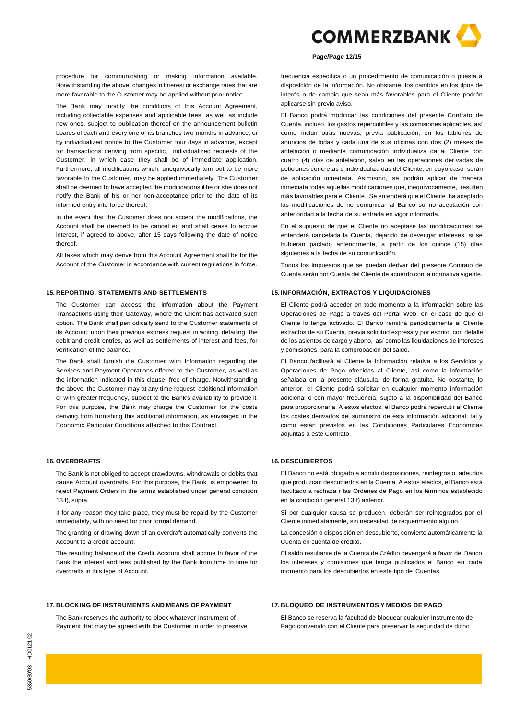

#### **Page/Page 12/15**

procedure for communicating or making information available. Notwithstanding the above, changes in interest or exchange rates that are more favorable to the Customer may be applied without prior notice.

The Bank may modify the conditions of this Account Agreement, including collectable expenses and applicable fees, as well as include new ones, subject to publication thereof on the announcement bulletin boards of each and every one of its branches two months in advance, or by individualized notice to the Customer four days in advance, except for transactions deriving from specific, individualized requests of the Customer, in which case they shall be of immediate application. Furthermore, all modifications which, unequivocally turn out to be more favorable to the Customer, may be applied immediately. The Customer shall be deemed to have accepted the modifications if he or she does not notify the Bank of his or her non-acceptance prior to the date of its informed entry into force thereof.

In the event that the Customer does not accept the modifications, the Account shall be deemed to be cancel ed and shall cease to accrue interest, if agreed to above, after 15 days following the date of notice thereof.

All taxes which may derive from this Account Agreement shall be for the Account of the Customer in accordance with current regulations in force.

#### **15. REPORTING, STATEMENTS AND SETTLEMENTS**

The Customer can access the information about the Payment Transactions using their Gateway, where the Client has activated such option. The Bank shall peri odically send to the Customer statements of its Account, upon their previous express request in writing, detailing the debit and credit entries, as well as settlements of interest and fees, for verification of the balance.

The Bank shall furnish the Customer with information regarding the Services and Payment Operations offered to the Customer, as well as the information indicated in this clause, free of charge. Notwithstanding the above, the Customer may at any time request additional information or with greater frequency, subject to the Bank's availability to provide it. For this purpose, the Bank may charge the Customer for the costs deriving from furnishing this additional information, as envisaged in the Economic Particular Conditions attached to this Contract.

# **16. OVERDRAFTS**

The Bank is not obliged to accept drawdowns, withdrawals or debits that cause Account overdrafts. For this purpose, the Bank is empowered to reject Payment Orders in the terms established under general condition 13.f), supra.

If for any reason they take place, they must be repaid by the Customer immediately, with no need for prior formal demand.

The granting or drawing down of an overdraft automatically converts the Account to a credit account.

The resulting balance of the Credit Account shall accrue in favor of the Bank the interest and fees published by the Bank from time to time for overdrafts in this type of Account.

# **17. BLOCKING OF INSTRUMENTS AND MEANS OF PAYMENT**

The Bank reserves the authority to block whatever Instrument of Payment that may be agreed with the Customer in order to preserve frecuencia específica o un procedimiento de comunicación o puesta a disposición de la información. No obstante, los cambios en los tipos de interés o de cambio que sean más favorables para el Cliente podrán aplicarse sin previo aviso.

El Banco podrá modificar las condiciones del presente Contrato de Cuenta, incluso, los gastos repercutibles y las comisiones aplicables, así como incluir otras nuevas, previa publicación, en los tablones de anuncios de todas y cada una de sus oficinas con dos (2) meses de antelación o mediante comunicación individualiza da al Cliente con cuatro (4) días de antelación, salvo en las operaciones derivadas de peticiones concretas e individualiza das del Cliente, en cuyo caso serán de aplicación inmediata. Asimismo, se podrán aplicar de manera inmediata todas aquellas modificaciones que, inequívocamente, resulten más favorables para el Cliente. Se entenderá que el Cliente ha aceptado las modificaciones de no comunicar al Banco su no aceptación con anterioridad a la fecha de su entrada en vigor informada.

En el supuesto de que el Cliente no aceptase las modificaciones: se entenderá cancelada la Cuenta, dejando de devengar intereses, si se hubieran pactado anteriormente, a partir de los quince (15) días siguientes a la fecha de su comunicación.

Todos los impuestos que se puedan derivar del presente Contrato de Cuenta serán por Cuenta del Cliente de acuerdo con la normativa vigente.

#### **15. INFORMACIÓN, EXTRACTOS Y LIQUIDACIONES**

El Cliente podrá acceder en todo momento a la información sobre las Operaciones de Pago a través del Portal Web, en el caso de que el Cliente lo tenga activado. El Banco remitirá periódicamente al Cliente extractos de su Cuenta, previa solicitud expresa y por escrito, con detalle de los asientos de cargo y abono, así como las liquidaciones de intereses y comisiones, para la comprobación del saldo.

El Banco facilitará al Cliente la información relativa a los Servicios y Operaciones de Pago ofrecidas al Cliente, así como la información señalada en la presente cláusula, de forma gratuita. No obstante, lo anterior, el Cliente podrá solicitar en cualquier momento información adicional o con mayor frecuencia, sujeto a la disponibilidad del Banco para proporcionarla. A estos efectos, el Banco podrá repercutir al Cliente los costes derivados del suministro de esta información adicional, tal y como están previstos en las Condiciones Particulares Económicas adjuntas a este Contrato.

# **16. DESCUBIERTOS**

El Banco no está obligado a admitir disposiciones, reintegros o adeudos que produzcan descubiertos en la Cuenta. A estos efectos, el Banco está facultado a rechaza r las Órdenes de Pago en los términos establecido en la condición general 13.f) anterior.

Si por cualquier causa se producen, deberán ser reintegrados por el Cliente inmediatamente, sin necesidad de requerimiento alguno.

La concesión o disposición en descubierto, convierte automáticamente la Cuenta en cuenta de crédito.

El saldo resultante de la Cuenta de Crédito devengará a favor del Banco los intereses y comisiones que tenga publicados el Banco en cada momento para los descubiertos en este tipo de Cuentas.

# **17. BLOQUEO DE INSTRUMENTOS Y MEDIOS DE PAGO**

El Banco se reserva la facultad de bloquear cualquier Instrumento de Pago convenido con el Cliente para preservar la seguridad de dicho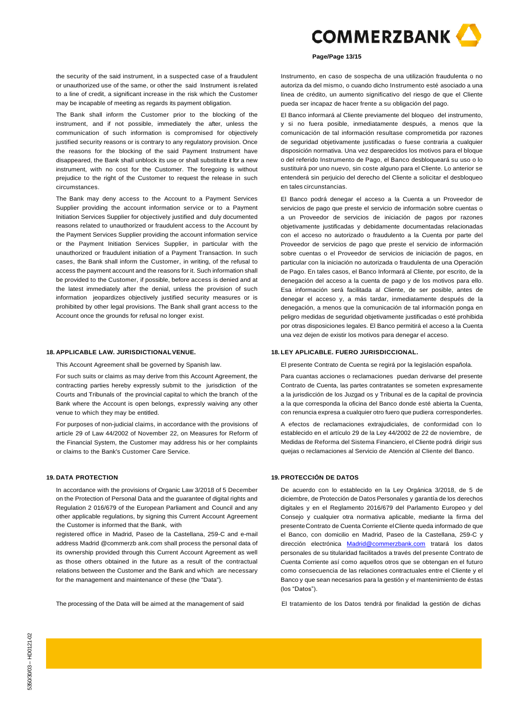

#### **Page/Page 13/15**

the security of the said instrument, in a suspected case of a fraudulent or unauthorized use of the same, or other the said Instrument is related to a line of credit, a significant increase in the risk which the Customer may be incapable of meeting as regards its payment obligation.

The Bank shall inform the Customer prior to the blocking of the instrument, and if not possible, immediately the after, unless the communication of such information is compromised for objectively justified security reasons or is contrary to any regulatory provision. Once the reasons for the blocking of the said Payment Instrument have disappeared, the Bank shall unblock its use or shall substitute it for a new instrument, with no cost for the Customer. The foregoing is without prejudice to the right of the Customer to request the release in such circumstances.

The Bank may deny access to the Account to a Payment Services Supplier providing the account information service or to a Payment Initiation Services Supplier for objectively justified and duly documented reasons related to unauthorized or fraudulent access to the Account by the Payment Services Supplier providing the account information service or the Payment Initiation Services Supplier, in particular with the unauthorized or fraudulent initiation of a Payment Transaction. In such cases, the Bank shall inform the Customer, in writing, of the refusal to access the payment account and the reasons for it. Such information shall be provided to the Customer, if possible, before access is denied and at the latest immediately after the denial, unless the provision of such information jeopardizes objectively justified security measures or is prohibited by other legal provisions. The Bank shall grant access to the Account once the grounds for refusal no longer exist.

#### **18. APPLICABLE LAW. JURISDICTIONALVENUE.**

This Account Agreement shall be governed by Spanish law.

For such suits or claims as may derive from this Account Agreement, the contracting parties hereby expressly submit to the jurisdiction of the Courts and Tribunals of the provincial capital to which the branch of the Bank where the Account is open belongs, expressly waiving any other venue to which they may be entitled.

For purposes of non-judicial claims, in accordance with the provisions of article 29 of Law 44/2002 of November 22, on Measures for Reform of the Financial System, the Customer may address his or her complaints or claims to the Bank's Customer Care Service.

# **19. DATA PROTECTION**

In accordance with the provisions of Organic Law 3/2018 of 5 December on the Protection of Personal Data and the guarantee of digital rights and Regulation 2 016/679 of the European Parliament and Council and any other applicable regulations, by signing this Current Account Agreement the Customer is informed that the Bank, with

registered office in Madrid, Paseo de la Castellana, 259-C and e-mail addres[s Madrid @commerzb ank.com](mailto:Madrid@commerzbank.com) shall process the personal data of its ownership provided through this Current Account Agreement as well as those others obtained in the future as a result of the contractual relations between the Customer and the Bank and which are necessary for the management and maintenance of these (the "Data").

The processing of the Data will be aimed at the management of said El tratamiento de los Datos tendrá por finalidad la gestión de dichas

Instrumento, en caso de sospecha de una utilización fraudulenta o no autoriza da del mismo, o cuando dicho Instrumento esté asociado a una línea de crédito, un aumento significativo del riesgo de que el Cliente pueda ser incapaz de hacer frente a su obligación del pago.

El Banco informará al Cliente previamente del bloqueo del instrumento, y si no fuera posible, inmediatamente después, a menos que la comunicación de tal información resultase comprometida por razones de seguridad objetivamente justificadas o fuese contraria a cualquier disposición normativa. Una vez desparecidos los motivos para el bloque o del referido Instrumento de Pago, el Banco desbloqueará su uso o lo sustituirá por uno nuevo, sin coste alguno para el Cliente. Lo anterior se entenderá sin perjuicio del derecho del Cliente a solicitar el desbloqueo en tales circunstancias.

El Banco podrá denegar el acceso a la Cuenta a un Proveedor de servicios de pago que preste el servicio de información sobre cuentas o a un Proveedor de servicios de iniciación de pagos por razones objetivamente justificadas y debidamente documentadas relacionadas con el acceso no autorizado o fraudulento a la Cuenta por parte del Proveedor de servicios de pago que preste el servicio de información sobre cuentas o el Proveedor de servicios de iniciación de pagos, en particular con la iniciación no autorizada o fraudulenta de una Operación de Pago. En tales casos, el Banco Informará al Cliente, por escrito, de la denegación del acceso a la cuenta de pago y de los motivos para ello. Esa información será facilitada al Cliente, de ser posible, antes de denegar el acceso y, a más tardar, inmediatamente después de la denegación, a menos que la comunicación de tal información ponga en peligro medidas de seguridad objetivamente justificadas o esté prohibida por otras disposiciones legales. El Banco permitirá el acceso a la Cuenta una vez dejen de existir los motivos para denegar el acceso.

## **18. LEY APLICABLE. FUERO JURISDICCIONAL.**

El presente Contrato de Cuenta se regirá por la legislación española.

Para cuantas acciones o reclamaciones puedan derivarse del presente Contrato de Cuenta, las partes contratantes se someten expresamente a la jurisdicción de los Juzgad os y Tribunal es de la capital de provincia a la que corresponda la oficina del Banco donde esté abierta la Cuenta, con renuncia expresa a cualquier otro fuero que pudiera corresponderles.

A efectos de reclamaciones extrajudiciales, de conformidad con lo establecido en el artículo 29 de la Ley 44/2002 de 22 de noviembre, de Medidas de Reforma del Sistema Financiero, el Cliente podrá dirigir sus quejas o reclamaciones al Servicio de Atención al Cliente del Banco.

# **19. PROTECCIÓN DE DATOS**

De acuerdo con lo establecido en la Ley Orgánica 3/2018, de 5 de diciembre, de Protección de Datos Personales y garantía de los derechos digitales y en el Reglamento 2016/679 del Parlamento Europeo y del Consejo y cualquier otra normativa aplicable, mediante la firma del presenteContrato de Cuenta Corriente elCliente queda informado de que el Banco, con domicilio en Madrid, Paseo de la Castellana, 259-C y dirección electrónica [Madrid@commerzbank.com](mailto:Madrid@commerzbank.com) tratará los datos personales de su titularidad facilitados a través del presente Contrato de Cuenta Corriente así como aquellos otros que se obtengan en el futuro como consecuencia de las relaciones contractuales entre el Cliente y el Banco y que sean necesarios para la gestión y el mantenimiento de éstas (los "Datos").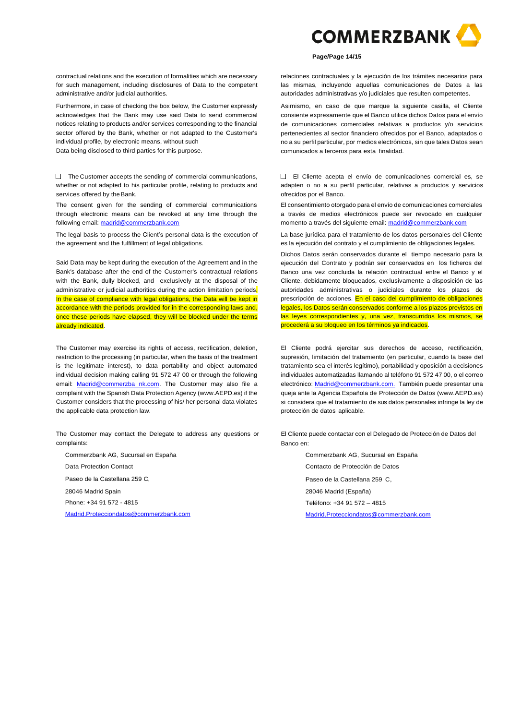

#### **Page/Page 14/15**

contractual relations and the execution of formalities which are necessary for such management, including disclosures of Data to the competent administrative and/or judicial authorities.

Furthermore, in case of checking the box below, the Customer expressly acknowledges that the Bank may use said Data to send commercial notices relating to products and/or services corresponding to the financial sector offered by the Bank, whether or not adapted to the Customer's individual profile, by electronic means, without such

Data being disclosed to third parties for this purpose.

 $\Box$  The Customer accepts the sending of commercial communications, whether or not adapted to his particular profile, relating to products and services offered by the Bank.

The consent given for the sending of commercial communications through electronic means can be revoked at any time through the following email: [madrid@commerzbank.com](mailto:madrid@commerzbank.com)

The legal basis to process the Client's personal data is the execution of the agreement and the fulfillment of legal obligations.

Said Data may be kept during the execution of the Agreement and in the Bank's database after the end of the Customer's contractual relations with the Bank, dully blocked, and exclusively at the disposal of the administrative or judicial authorities during the action limitation periods. In the case of compliance with legal obligations, the Data will be kept in accordance with the periods provided for in the corresponding laws and, once these periods have elapsed, they will be blocked under the terms already indicated.

The Customer may exercise its rights of access, rectification, deletion, restriction to the processing (in particular, when the basis of the treatment is the legitimate interest), to data portability and object automated individual decision making calling 91 572 47 00 or through the following email: [Madrid@commerzba nk.com.](mailto:Madrid@commerzbank.com) The Customer may also file a complaint with the Spanish Data Protection Agency (www.AEPD.es) if the Customer considers that the processing of his/ her personal data violates the applicable data protection law.

The Customer may contact the Delegate to address any questions or complaints:

Commerzbank AG, Sucursal en España Data Protection Contact Paseo de la Castellana 259 C, 28046 Madrid Spain Phone: +34 91 572 - 4815 [Madrid.Protecciondatos@commerzbank.com](mailto:Madrid.Protecciondatos@commerzbank.com)

relaciones contractuales y la ejecución de los trámites necesarios para las mismas, incluyendo aquellas comunicaciones de Datos a las autoridades administrativas y/o judiciales que resulten competentes.

Asimismo, en caso de que marque la siguiente casilla, el Cliente consiente expresamente que el Banco utilice dichos Datos para el envío de comunicaciones comerciales relativas a productos y/o servicios pertenecientes al sector financiero ofrecidos por el Banco, adaptados o no a su perfil particular, por medios electrónicos, sin que tales Datos sean comunicados a terceros para esta finalidad.

El Cliente acepta el envío de comunicaciones comercial es, se adapten o no a su perfil particular, relativas a productos y servicios ofrecidos por el Banco.

El consentimiento otorgado para el envío de comunicaciones comerciales a través de medios electrónicos puede ser revocado en cualquier momento a través del siguiente email[: madrid@commerzbank.com](mailto:madrid@commerzbank.com)

La base jurídica para el tratamiento de los datos personales del Cliente es la ejecución del contrato y el cumplimiento de obligaciones legales.

Dichos Datos serán conservados durante el tiempo necesario para la ejecución del Contrato y podrán ser conservados en los ficheros del Banco una vez concluida la relación contractual entre el Banco y el Cliente, debidamente bloqueados, exclusivamente a disposición de las autoridades administrativas o judiciales durante los plazos de prescripción de acciones. En el caso del cumplimiento de obligaciones legales, los Datos serán conservados conforme a los plazos previstos en las leyes correspondientes y, una vez, transcurridos los mismos, se procederá a su bloqueo en los términos ya indicados.

El Cliente podrá ejercitar sus derechos de acceso, rectificación, supresión, limitación del tratamiento (en particular, cuando la base del tratamiento sea el interés legítimo), portabilidad y oposición a decisiones individuales automatizadas llamando al teléfono 91 572 47 00, o el correo electrónico: [Madrid@commerzbank.com.](mailto:Madrid@commerzbank.com) También puede presentar una queja ante la Agencia Española de Protección de Datos (www.AEPD.es) si considera que el tratamiento de sus datos personales infringe la ley de protección de datos aplicable.

El Cliente puede contactar con el Delegado de Protección de Datos del Banco en:

> Commerzbank AG, Sucursal en España Contacto de Protección de Datos Paseo de la Castellana 259 C, 28046 Madrid (España) Teléfono: +34 91 572 – 4815 [Madrid.Protecciondatos@commerzbank.com](mailto:Madrid.Protecciondatos@commerzbank.com)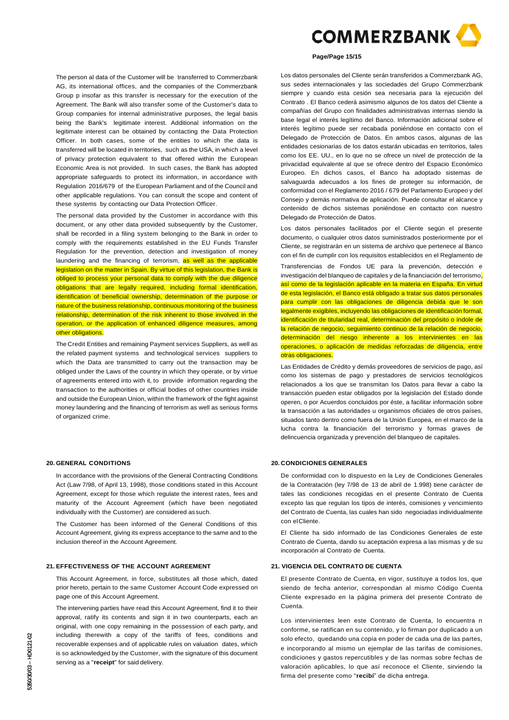The person al data of the Customer will be transferred to Commerzbank AG, its international offices, and the companies of the Commerzbank Group p insofar as this transfer is necessary for the execution of the Agreement. The Bank will also transfer some of the Customer's data to Group companies for internal administrative purposes, the legal basis being the Bank's legitimate interest. Additional information on the legitimate interest can be obtained by contacting the Data Protection Officer. In both cases, some of the entities to which the data is transferred will be located in territories, such as the USA, in which a level of privacy protection equivalent to that offered within the European Economic Area is not provided. In such cases, the Bank has adopted appropriate safeguards to protect its information, in accordance with Regulation 2016/679 of the European Parliament and of the Council and other applicable regulations. You can consult the scope and content of these systems by contacting our Data Protection Officer.

The personal data provided by the Customer in accordance with this document, or any other data provided subsequently by the Customer, shall be recorded in a filing system belonging to the Bank in order to comply with the requirements established in the EU Funds Transfer Regulation for the prevention, detection and investigation of money laundering and the financing of terrorism, as well as the applicable legislation on the matter in Spain. By virtue of this legislation, the Bank is obliged to process your personal data to comply with the due diligence obligations that are legally required, including formal identification, identification of beneficial ownership, determination of the purpose or nature of the business relationship, continuous monitoring of the business relationship, determination of the risk inherent to those involved in the operation, or the application of enhanced diligence measures, among other obligations.

The Credit Entities and remaining Payment services Suppliers, as well as the related payment systems and technological services suppliers to which the Data are transmitted to carry out the transaction may be obliged under the Laws of the country in which they operate, or by virtue of agreements entered into with it, to provide information regarding the transaction to the authorities or official bodies of other countries inside and outside the European Union, within the framework of the fight against money laundering and the financing of terrorism as well as serious forms of organized crime.

# **20. GENERAL CONDITIONS**

In accordance with the provisions of the General Contracting Conditions Act (Law 7/98, of April 13, 1998), those conditions stated in this Account Agreement, except for those which regulate the interest rates, fees and maturity of the Account Agreement (which have been negotiated individually with the Customer) are considered assuch.

The Customer has been informed of the General Conditions of this Account Agreement, giving its express acceptance to the same and to the inclusion thereof in the Account Agreement.

# **21. EFFECTIVENESS OF THE ACCOUNT AGREEMENT**

This Account Agreement, in force, substitutes all those which, dated prior hereto, pertain to the same Customer Account Code expressed on page one of this Account Agreement.

The intervening parties have read this Account Agreement, find it to their approval, ratify its contents and sign it in two counterparts, each an original, with one copy remaining in the possession of each party, and including therewith a copy of the tariffs of fees, conditions and recoverable expenses and of applicable rules on valuation dates, which is so acknowledged by the Customer, with the signature of this document serving as a "**receipt**" for said delivery.



#### **Page/Page 15/15**

Los datos personales del Cliente serán transferidos a Commerzbank AG, sus sedes internacionales y las sociedades del Grupo Commerzbank siempre y cuando esta cesión sea necesaria para la ejecución del Contrato . El Banco cederá asimismo algunos de los datos del Cliente a compañías del Grupo con finalidades administrativas internas siendo la base legal el interés legítimo del Banco. Información adicional sobre el interés legítimo puede ser recabada poniéndose en contacto con el Delegado de Protección de Datos. En ambos casos, algunas de las entidades cesionarias de los datos estarán ubicadas en territorios, tales como los EE. UU., en lo que no se ofrece un nivel de protección de la privacidad equivalente al que se ofrece dentro del Espacio Económico Europeo. En dichos casos, el Banco ha adoptado sistemas de salvaguarda adecuados a los fines de proteger su información, de conformidad con el Reglamento 2016 / 679 del Parlamento Europeo y del Consejo y demás normativa de aplicación. Puede consultar el alcance y contenido de dichos sistemas poniéndose en contacto con nuestro Delegado de Protección de Datos.

Los datos personales facilitados por el Cliente según el presente documento, o cualquier otros datos suministrados posteriormente por el Cliente, se registrarán en un sistema de archivo que pertenece al Banco con el fin de cumplir con los requisitos establecidos en el Reglamento de

Transferencias de Fondos UE para la prevención, detección e investigación del blanqueo de capitales y de la financiación del terrorismo, así como de la legislación aplicable en la materia en España. En virtud de esta legislación, el Banco está obligado a tratar sus datos personales para cumplir con las obligaciones de diligencia debida que le son legalmente exigibles, incluyendo las obligaciones de identificación formal, identificación de titularidad real, determinación del propósito o índole de la relación de negocio, seguimiento continuo de la relación de negocio, determinación del riesgo inherente a los intervinientes en las operaciones, o aplicación de medidas reforzadas de diligencia, entre otras obligaciones.

Las Entidades de Crédito y demás proveedores de servicios de pago, así como los sistemas de pago y prestadores de servicios tecnológicos relacionados a los que se transmitan los Datos para llevar a cabo la transacción pueden estar obligados por la legislación del Estado donde operen, o por Acuerdos concluidos por éste, a facilitar información sobre la transacción a las autoridades u organismos oficiales de otros países, situados tanto dentro como fuera de la Unión Europea, en el marco de la lucha contra la financiación del terrorismo y formas graves de delincuencia organizada y prevención del blanqueo de capitales.

# **20. CONDICIONES GENERALES**

De conformidad con lo dispuesto en la Ley de Condiciones Generales de la Contratación (ley 7/98 de 13 de abril de 1.998) tiene carácter de tales las condiciones recogidas en el presente Contrato de Cuenta excepto las que regulan los tipos de interés, comisiones y vencimiento del Contrato de Cuenta, las cuales han sido negociadas individualmente con elCliente.

El Cliente ha sido informado de las Condiciones Generales de este Contrato de Cuenta, dando su aceptación expresa a las mismas y de su incorporación al Contrato de Cuenta.

# **21. VIGENCIA DEL CONTRATO DE CUENTA**

El presente Contrato de Cuenta, en vigor, sustituye a todos los, que siendo de fecha anterior, correspondan al mismo Código Cuenta Cliente expresado en la página primera del presente Contrato de Cuenta.

Los intervinientes leen este Contrato de Cuenta, lo encuentra n conforme, se ratifican en su contenido, y lo firman por duplicado a un solo efecto, quedando una copia en poder de cada una de las partes, e incorporando al mismo un ejemplar de las tarifas de comisiones, condiciones y gastos repercutibles y de las normas sobre fechas de valoración aplicables, lo que así reconoce el Cliente, sirviendo la firma del presente como "**recibí**" de dicha entrega.